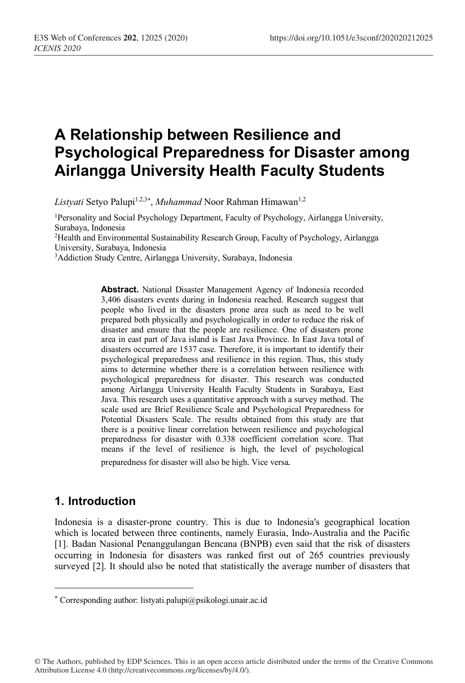# **A Relationship between Resilience and Psychological Preparedness for Disaster among Airlangga University Health Faculty Students**

Listyati Setyo Palupi<sup>1,2,3\*</sup>, *Muhammad* Noor Rahman Himawan<sup>1,2</sup>

1Personality and Social Psychology Department, Faculty of Psychology, Airlangga University, Surabaya, Indonesia

2Health and Environmental Sustainability Research Group, Faculty of Psychology, Airlangga University, Surabaya, Indonesia

3Addiction Study Centre, Airlangga University, Surabaya, Indonesia

**Abstract.** National Disaster Management Agency of Indonesia recorded 3,406 disasters events during in Indonesia reached. Research suggest that people who lived in the disasters prone area such as need to be well prepared both physically and psychologically in order to reduce the risk of disaster and ensure that the people are resilience. One of disasters prone area in east part of Java island is East Java Province. In East Java total of disasters occurred are 1537 case. Therefore, it is important to identify their psychological preparedness and resilience in this region. Thus, this study aims to determine whether there is a correlation between resilience with psychological preparedness for disaster. This research was conducted among Airlangga University Health Faculty Students in Surabaya, East Java. This research uses a quantitative approach with a survey method. The scale used are Brief Resilience Scale and Psychological Preparedness for Potential Disasters Scale. The results obtained from this study are that there is a positive linear correlation between resilience and psychological preparedness for disaster with 0.338 coefficient correlation score. That means if the level of resilience is high, the level of psychological preparedness for disaster will also be high. Vice versa*.*

#### **1. Introduction**

 $\overline{a}$ 

Indonesia is a disaster-prone country. This is due to Indonesia's geographical location which is located between three continents, namely Eurasia, Indo-Australia and the Pacific [1]. Badan Nasional Penanggulangan Bencana (BNPB) even said that the risk of disasters occurring in Indonesia for disasters was ranked first out of 265 countries previously surveyed [2]. It should also be noted that statistically the average number of disasters that

<sup>\*</sup> Corresponding author: listyati.palupi@psikologi.unair.ac.id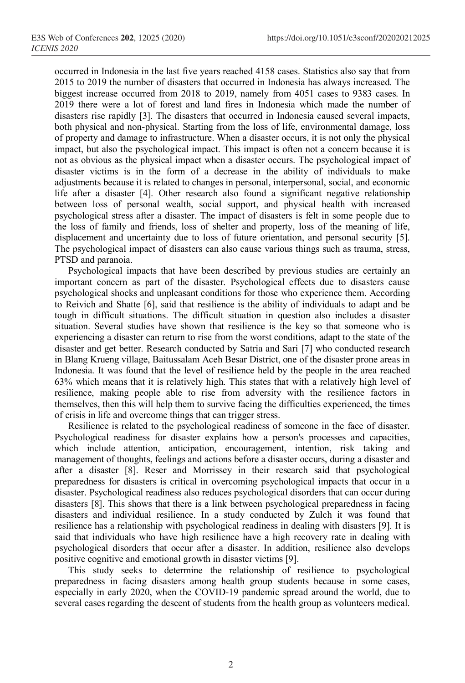occurred in Indonesia in the last five years reached 4158 cases. Statistics also say that from 2015 to 2019 the number of disasters that occurred in Indonesia has always increased. The biggest increase occurred from 2018 to 2019, namely from 4051 cases to 9383 cases. In 2019 there were a lot of forest and land fires in Indonesia which made the number of disasters rise rapidly [3]. The disasters that occurred in Indonesia caused several impacts, both physical and non-physical. Starting from the loss of life, environmental damage, loss of property and damage to infrastructure. When a disaster occurs, it is not only the physical impact, but also the psychological impact. This impact is often not a concern because it is not as obvious as the physical impact when a disaster occurs. The psychological impact of disaster victims is in the form of a decrease in the ability of individuals to make adjustments because it is related to changes in personal, interpersonal, social, and economic life after a disaster [4]. Other research also found a significant negative relationship between loss of personal wealth, social support, and physical health with increased psychological stress after a disaster. The impact of disasters is felt in some people due to the loss of family and friends, loss of shelter and property, loss of the meaning of life, displacement and uncertainty due to loss of future orientation, and personal security [5]. The psychological impact of disasters can also cause various things such as trauma, stress, PTSD and paranoia.

Psychological impacts that have been described by previous studies are certainly an important concern as part of the disaster. Psychological effects due to disasters cause psychological shocks and unpleasant conditions for those who experience them. According to Reivich and Shatte [6], said that resilience is the ability of individuals to adapt and be tough in difficult situations. The difficult situation in question also includes a disaster situation. Several studies have shown that resilience is the key so that someone who is experiencing a disaster can return to rise from the worst conditions, adapt to the state of the disaster and get better. Research conducted by Satria and Sari [7] who conducted research in Blang Krueng village, Baitussalam Aceh Besar District, one of the disaster prone areas in Indonesia. It was found that the level of resilience held by the people in the area reached 63% which means that it is relatively high. This states that with a relatively high level of resilience, making people able to rise from adversity with the resilience factors in themselves, then this will help them to survive facing the difficulties experienced, the times of crisis in life and overcome things that can trigger stress.

Resilience is related to the psychological readiness of someone in the face of disaster. Psychological readiness for disaster explains how a person's processes and capacities, which include attention, anticipation, encouragement, intention, risk taking and management of thoughts, feelings and actions before a disaster occurs, during a disaster and after a disaster [8]. Reser and Morrissey in their research said that psychological preparedness for disasters is critical in overcoming psychological impacts that occur in a disaster. Psychological readiness also reduces psychological disorders that can occur during disasters [8]. This shows that there is a link between psychological preparedness in facing disasters and individual resilience. In a study conducted by Zulch it was found that resilience has a relationship with psychological readiness in dealing with disasters [9]. It is said that individuals who have high resilience have a high recovery rate in dealing with psychological disorders that occur after a disaster. In addition, resilience also develops positive cognitive and emotional growth in disaster victims [9].

This study seeks to determine the relationship of resilience to psychological preparedness in facing disasters among health group students because in some cases, especially in early 2020, when the COVID-19 pandemic spread around the world, due to several cases regarding the descent of students from the health group as volunteers medical.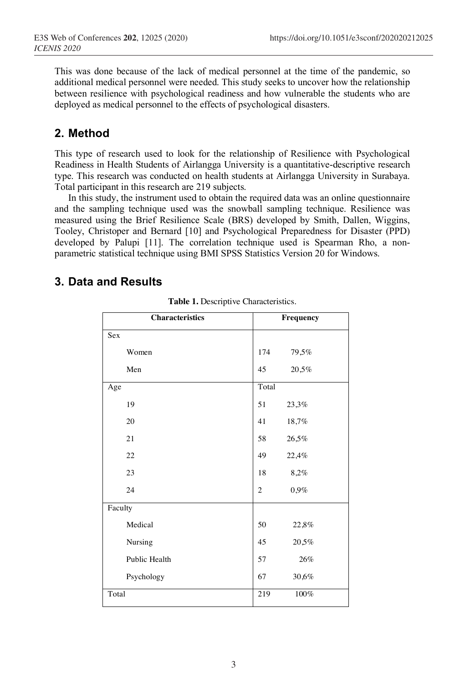This was done because of the lack of medical personnel at the time of the pandemic, so additional medical personnel were needed. This study seeks to uncover how the relationship between resilience with psychological readiness and how vulnerable the students who are deployed as medical personnel to the effects of psychological disasters.

### **2. Method**

This type of research used to look for the relationship of Resilience with Psychological Readiness in Health Students of Airlangga University is a quantitative-descriptive research type. This research was conducted on health students at Airlangga University in Surabaya. Total participant in this research are 219 subjects.

In this study, the instrument used to obtain the required data was an online questionnaire and the sampling technique used was the snowball sampling technique. Resilience was measured using the Brief Resilience Scale (BRS) developed by Smith, Dallen, Wiggins, Tooley, Christoper and Bernard [10] and Psychological Preparedness for Disaster (PPD) developed by Palupi [11]. The correlation technique used is Spearman Rho, a nonparametric statistical technique using BMI SPSS Statistics Version 20 for Windows.

#### **3. Data and Results**

|         | <b>Characteristics</b> |                | Frequency |
|---------|------------------------|----------------|-----------|
| Sex     |                        |                |           |
|         | Women                  | 174            | 79,5%     |
|         | Men                    | 45             | 20,5%     |
| Age     |                        | Total          |           |
|         | 19                     | 51             | 23,3%     |
|         | 20                     | 41             | 18,7%     |
|         | 21                     | 58             | 26,5%     |
|         | 22                     | 49             | 22,4%     |
|         | 23                     | 18             | 8,2%      |
|         | 24                     | $\overline{c}$ | 0,9%      |
| Faculty |                        |                |           |
|         | Medical                | 50             | 22,8%     |
|         | Nursing                | 45             | 20,5%     |
|         | Public Health          | 57             | 26%       |
|         | Psychology             | 67             | 30,6%     |
| Total   |                        | 219            | $100\%$   |

**Table 1.** Descriptive Characteristics.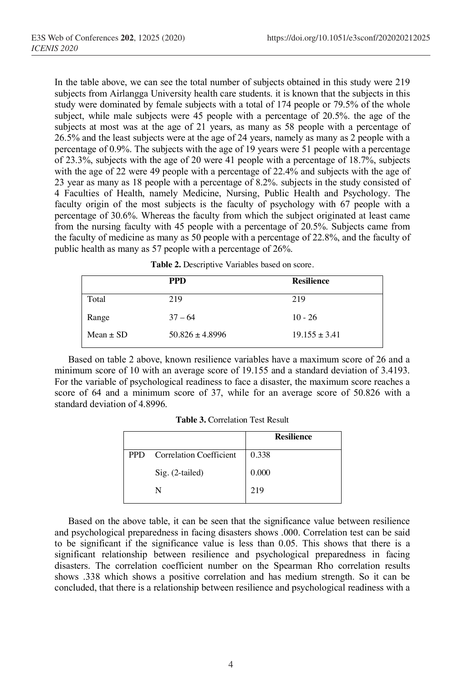In the table above, we can see the total number of subjects obtained in this study were 219 subjects from Airlangga University health care students. it is known that the subjects in this study were dominated by female subjects with a total of 174 people or 79.5% of the whole subject, while male subjects were 45 people with a percentage of 20.5%. the age of the subjects at most was at the age of 21 years, as many as 58 people with a percentage of 26.5% and the least subjects were at the age of 24 years, namely as many as 2 people with a percentage of 0.9%. The subjects with the age of 19 years were 51 people with a percentage of 23.3%, subjects with the age of 20 were 41 people with a percentage of 18.7%, subjects with the age of 22 were 49 people with a percentage of 22.4% and subjects with the age of 23 year as many as 18 people with a percentage of 8.2%. subjects in the study consisted of 4 Faculties of Health, namely Medicine, Nursing, Public Health and Psychology. The faculty origin of the most subjects is the faculty of psychology with 67 people with a percentage of 30.6%. Whereas the faculty from which the subject originated at least came from the nursing faculty with 45 people with a percentage of 20.5%. Subjects came from the faculty of medicine as many as 50 people with a percentage of 22.8%, and the faculty of public health as many as 57 people with a percentage of 26%.

|               | <b>PPD</b>          | <b>Resilience</b> |  |
|---------------|---------------------|-------------------|--|
| Total         | 219                 | 219               |  |
| Range         | $37 - 64$           | $10 - 26$         |  |
| $Mean \pm SD$ | $50.826 \pm 4.8996$ | $19.155 \pm 3.41$ |  |

Based on table 2 above, known resilience variables have a maximum score of 26 and a minimum score of 10 with an average score of 19.155 and a standard deviation of 3.4193. For the variable of psychological readiness to face a disaster, the maximum score reaches a score of 64 and a minimum score of 37, while for an average score of 50.826 with a standard deviation of 4.8996.

**Table 3.** Correlation Test Result

|      |                                | <b>Resilience</b> |
|------|--------------------------------|-------------------|
| PPD. | <b>Correlation Coefficient</b> | 0.338             |
|      | Sig. (2-tailed)                | 0.000             |
|      | N                              | 219               |

Based on the above table, it can be seen that the significance value between resilience and psychological preparedness in facing disasters shows .000. Correlation test can be said to be significant if the significance value is less than 0.05. This shows that there is a significant relationship between resilience and psychological preparedness in facing disasters. The correlation coefficient number on the Spearman Rho correlation results shows .338 which shows a positive correlation and has medium strength. So it can be concluded, that there is a relationship between resilience and psychological readiness with a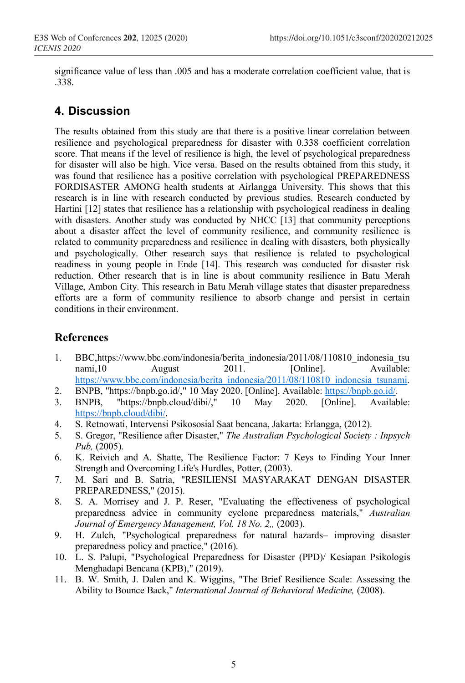significance value of less than .005 and has a moderate correlation coefficient value, that is .338.

## **4. Discussion**

The results obtained from this study are that there is a positive linear correlation between resilience and psychological preparedness for disaster with 0.338 coefficient correlation score. That means if the level of resilience is high, the level of psychological preparedness for disaster will also be high. Vice versa. Based on the results obtained from this study, it was found that resilience has a positive correlation with psychological PREPAREDNESS FORDISASTER AMONG health students at Airlangga University. This shows that this research is in line with research conducted by previous studies. Research conducted by Hartini [12] states that resilience has a relationship with psychological readiness in dealing with disasters. Another study was conducted by NHCC [13] that community perceptions about a disaster affect the level of community resilience, and community resilience is related to community preparedness and resilience in dealing with disasters, both physically and psychologically. Other research says that resilience is related to psychological readiness in young people in Ende [14]. This research was conducted for disaster risk reduction. Other research that is in line is about community resilience in Batu Merah Village, Ambon City. This research in Batu Merah village states that disaster preparedness efforts are a form of community resilience to absorb change and persist in certain conditions in their environment.

#### **References**

- 1. BBC,https://www.bbc.com/indonesia/berita\_indonesia/2011/08/110810\_indonesia\_tsu nami,10 August 2011. [Online]. Available: https://www.bbc.com/indonesia/berita\_indonesia/2011/08/110810\_indonesia\_tsunami.
- 2. BNPB, "https://bnpb.go.id/," 10 May 2020. [Online]. Available: https://bnpb.go.id/.
- 3. BNPB, "https://bnpb.cloud/dibi/," 10 May 2020. [Online]. Available: https://bnpb.cloud/dibi/.
- 4. S. Retnowati, Intervensi Psikososial Saat bencana, Jakarta: Erlangga, (2012).
- 5. S. Gregor, "Resilience after Disaster," *The Australian Psychological Society : Inpsych Pub,* (2005).
- 6. K. Reivich and A. Shatte, The Resilience Factor: 7 Keys to Finding Your Inner Strength and Overcoming Life's Hurdles, Potter, (2003).
- 7. M. Sari and B. Satria, "RESILIENSI MASYARAKAT DENGAN DISASTER PREPAREDNESS," (2015).
- 8. S. A. Morrisey and J. P. Reser, "Evaluating the effectiveness of psychological preparedness advice in community cyclone preparedness materials," *Australian Journal of Emergency Management, Vol. 18 No. 2,,* (2003).
- 9. H. Zulch, "Psychological preparedness for natural hazards– improving disaster preparedness policy and practice," (2016).
- 10. L. S. Palupi, "Psychological Preparedness for Disaster (PPD)/ Kesiapan Psikologis Menghadapi Bencana (KPB)," (2019).
- 11. B. W. Smith, J. Dalen and K. Wiggins, "The Brief Resilience Scale: Assessing the Ability to Bounce Back," *International Journal of Behavioral Medicine,* (2008).